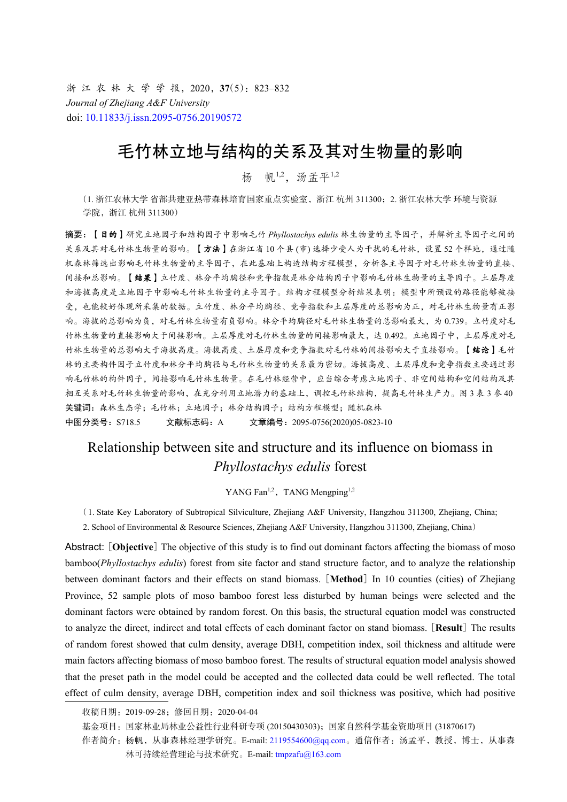浙 江 农 林 大 学 学 报, 2020, 37(5): 823-832 *Journal of Zhejiang A&F University* doi: [10.11833/j.issn.2095-0756.20190572](https://doi.org/10.11833/j.issn.2095-0756.20190572)

# 毛竹林立地与结构的关系及其对生物量的影响

杨 帆1,2,汤孟平1,2

(1. 浙江农林大学 省部共建亚热带森林培育国家重点实验室,浙江 杭州 311300;2. 浙江农林大学 环境与资源 学院,浙江 杭州 311300)

摘要:【目的】研究立地因子和结构因子中影响毛竹 *Phyllostachys edulis* 林生物量的主导因子,并解析主导因子之间的 关系及其对毛竹林生物量的影响。【方法】在浙江省10个县(市)选择少受人为干扰的毛竹林,设置52个样地,通过随 机森林筛选出影响毛竹林生物量的主导因子,在此基础上构造结构方程模型,分析各主导因子对毛竹林生物量的直接、 间接和总影响。【结果】立竹度、林分平均胸径和竞争指数是林分结构因子中影响毛竹林生物量的主导因子。土层厚度 和海拔高度是立地因子中影响毛竹林生物量的主导因子。结构方程模型分析结果表明:模型中所预设的路径能够被接 受,也能较好体现所采集的数据。立竹度、林分平均胸径、竞争指数和土层厚度的总影响为正,对毛竹林生物量有正影 响。海拔的总影响为负,对毛竹林生物量有负影响。林分平均胸径对毛竹林生物量的总影响最大,为 0.739。立竹度对毛 竹林生物量的直接影响大于间接影响。土层厚度对毛竹林生物量的间接影响最大,达 0.492。立地因子中,土层厚度对毛 竹林生物量的总影响大于海拔高度。海拔高度、土层厚度和竞争指数对毛竹林的间接影响大于直接影响。【结论】毛竹 林的主要构件因子立竹度和林分平均胸径与毛竹林生物量的关系最为密切。海拔高度、土层厚度和竞争指数主要通过影 响毛竹林的构件因子,间接影响毛竹林生物量。在毛竹林经营中,应当综合考虑立地因子、非空间结构和空间结构及其 相互关系对毛竹林生物量的影响,在充分利用立地潜力的基础上,调控毛竹林结构,提高毛竹林生产力。图 3 表 3 参 40 关键词:森林生态学;毛竹林;立地因子;林分结构因子;结构方程模型;随机森林 中图分类号: S718.5 文献标志码: A 文章编号: 2095-0756(2020)05-0823-10

## Relationship between site and structure and its influence on biomass in *Phyllostachys edulis* forest

YANG Fan<sup>1,2</sup>, TANG Mengping<sup>1,2</sup>

( 1. State Key Laboratory of Subtropical Silviculture, Zhejiang A&F University, Hangzhou 311300, Zhejiang, China;

2. School of Environmental & Resource Sciences, Zhejiang A&F University, Hangzhou 311300, Zhejiang, China)

Abstract: [**Objective**] The objective of this study is to find out dominant factors affecting the biomass of moso bamboo(*Phyllostachys edulis*) forest from site factor and stand structure factor, and to analyze the relationship between dominant factors and their effects on stand biomass. [**Method**] In 10 counties (cities) of Zhejiang Province, 52 sample plots of moso bamboo forest less disturbed by human beings were selected and the dominant factors were obtained by random forest. On this basis, the structural equation model was constructed to analyze the direct, indirect and total effects of each dominant factor on stand biomass. [**Result**] The results of random forest showed that culm density, average DBH, competition index, soil thickness and altitude were main factors affecting biomass of moso bamboo forest. The results of structural equation model analysis showed that the preset path in the model could be accepted and the collected data could be well reflected. The total effect of culm density, average DBH, competition index and soil thickness was positive, which had positive

收稿日期:2019-09-28;修回日期:2020-04-04

基金项目:国家林业局林业公益性行业科研专项 (20150430303);国家自然科学基金资助项目 (31870617)

作者简介: 杨帆, 从事森林经理学研究。E-mail: [2119554600@qq.com](mailto:2119554600@qq.com)。通信作者: 汤孟平, 教授, 博士, 从事森 林可持续经营理论与技术研究。E-mail: [tmpzafu@163.com](mailto:tmpzafu@163.com)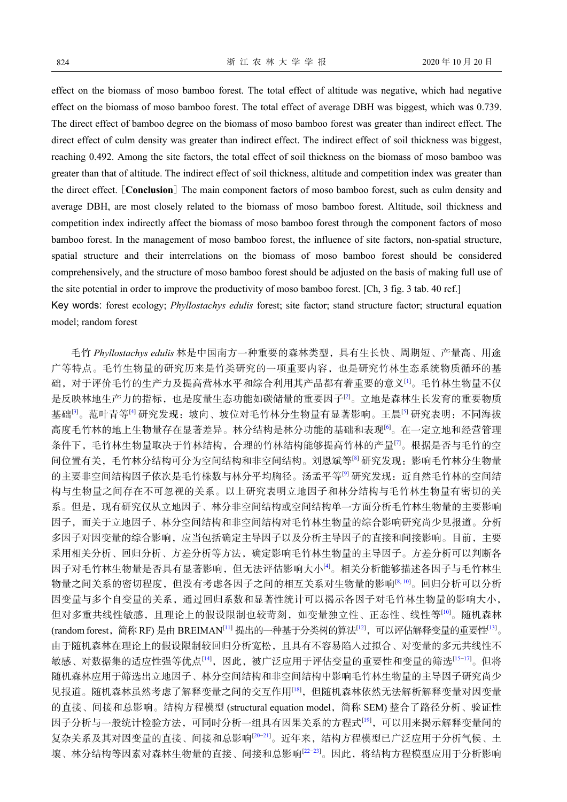effect on the biomass of moso bamboo forest. The total effect of altitude was negative, which had negative effect on the biomass of moso bamboo forest. The total effect of average DBH was biggest, which was 0.739. The direct effect of bamboo degree on the biomass of moso bamboo forest was greater than indirect effect. The direct effect of culm density was greater than indirect effect. The indirect effect of soil thickness was biggest, reaching 0.492. Among the site factors, the total effect of soil thickness on the biomass of moso bamboo was greater than that of altitude. The indirect effect of soil thickness, altitude and competition index was greater than the direct effect. [**Conclusion**] The main component factors of moso bamboo forest, such as culm density and average DBH, are most closely related to the biomass of moso bamboo forest. Altitude, soil thickness and competition index indirectly affect the biomass of moso bamboo forest through the component factors of moso bamboo forest. In the management of moso bamboo forest, the influence of site factors, non-spatial structure, spatial structure and their interrelations on the biomass of moso bamboo forest should be considered comprehensively, and the structure of moso bamboo forest should be adjusted on the basis of making full use of the site potential in order to improve the productivity of moso bamboo forest. [Ch, 3 fig. 3 tab. 40 ref.]

Key words: forest ecology; *Phyllostachys edulis* forest; site factor; stand structure factor; structural equation model; random forest

毛竹 *Phyllostachys edulis* 林是中国南方一种重要的森林类型,具有生长快、周期短、产量高、用途 广等特点。毛竹生物量的研究历来是竹类研究的一项重要内容,也是研究竹林生态系统物质循环的基 础,对于评价毛竹的生产力及提高营林水平和综合利用其产品都有着重要的意义[[1\]](#page-7-0)。毛竹林生物量不仅 是反映林地生产力的指标,也是度量生态功能如碳储量的重要因子[\[2](#page-7-1)]。立地是森林生长发育的重要物质 基础<sup>[\[3](#page-7-2)]</sup>。范叶青等<sup>[[4\]](#page-7-3)</sup> 研究发现: 坡向、坡位对毛竹林分生物量有显著影响。王晨<sup>[[5\]](#page-7-4)</sup> 研究表明: 不同海拔 高度毛竹林的地上生物量存在显著差异。林分结构是林分功能的基础和表现<sup>[\[6\]](#page-7-5)</sup>。在一定立地和经营管理 条件下,毛竹林生物量取决于竹林结构,合理的竹林结构能够提高竹林的产量[\[7](#page-8-0)]。根据是否与毛竹的空 间位置有关,毛竹林分结构可分为空间结构和非空间结构。刘恩斌等[[8](#page-8-1)] 研究发现:影响毛竹林分生物量 的主要非空间结构因子依次是毛竹株数与林分平均胸径。汤孟平等<sup>[\[9](#page-8-2)]</sup> 研究发现: 近自然毛竹林的空间结 构与生物量之间存在不可忽视的关系。以上研究表明立地因子和林分结构与毛竹林生物量有密切的关 系。但是,现有研究仅从立地因子、林分非空间结构或空间结构单一方面分析毛竹林生物量的主要影响 因子,而关于立地因子、林分空间结构和非空间结构对毛竹林生物量的综合影响研究尚少见报道。分析 多因子对因变量的综合影响,应当包括确定主导因子以及分析主导因子的直接和间接影响。目前,主要 采用相关分析、回归分析、方差分析等方法,确定影响毛竹林[生](#page-7-3)物量的主导因子。方差分析可以判断各 因子对毛竹林生物量是否具有显著影响,但无法评估影响大小[[4](#page-7-3)]。相关分析能[够](#page-8-1)[描](#page-8-3)述各因子与毛竹林生 物量之间关系的密切程度,但没有考虑各因子之间的相互关系对生物量的影响[\[8](#page-8-1), [10](#page-8-3)]。回归分析可以分析 因变量与多个自变量的关系,通过回归系数和显著性统计可以揭示各因子对毛竹林生物[量的](#page-8-3)影响大小, 但对多重共线性敏感,且理论上的假[设限](#page-8-4)制也较苛刻,如变量独立[性、](#page-8-5)正态性、线性等[\[10\]](#page-8-3)。随机[森林](#page-8-6) (random forest, 简称 RF) 是由 BREIMAN<sup>[\[11](#page-8-4)]</sup> 提出的一种基于分类树的算法<sup>[\[12](#page-8-5)]</sup>, 可以评估解释变量的重要性<sup>[[13\]](#page-8-6)</sup>。 由于随机森林在理论上的假设限制[较](#page-8-7)回归分析宽松,且具有不容易陷入过拟合、对变量的多[元](#page-8-8)[共](#page-8-9)线性不 敏感、对数据集的适应性强等优点[\[14](#page-8-7)],因此,被广泛应用于评估变量的重要性和变量的筛选[[15−](#page-8-8)[17](#page-8-9)]。但将 随机森林应用于筛选出立地因子、林分空间结构和非空[间](#page-8-10)结构中影响毛竹林生物量的主导因子研究尚少 见报道。随机森林虽然考虑了解释变量之间的交互作用[\[18\]](#page-8-10),但随机森林依然无法解析解释变量对因变量 的直接、间接和总影响。结构方程模型 (structural equation model,简称 [SE](#page-8-11)M) 整合了路径分析、验证性 因子分析与一般统计检验方法,可同时分析一[组](#page-8-12)[具](#page-8-13)有因果关系的方程式[\[19](#page-8-11)],可以用来揭示解释变量间的 复杂关系及其对因变量的直接、间接和总影响[[20](#page-8-12)[−21\]](#page-8-13)。近年[来](#page-8-14)[,](#page-8-15)结构方程模型已广泛应用于分析气候、土 壤、林分结构等因素对森林生物量的直接、间接和总影响[[22−](#page-8-14)[23](#page-8-15)]。因此,将结构方程模型应用于分析影响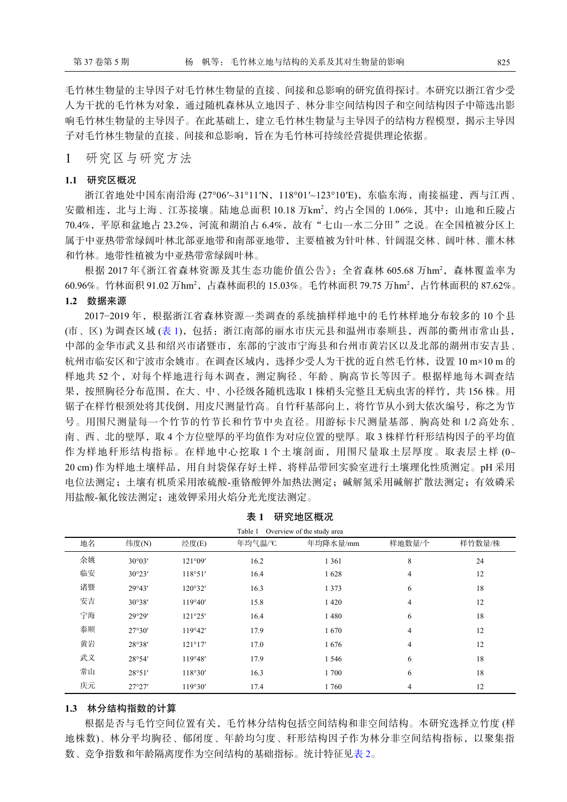毛竹林生物量的主导因子对毛竹林生物量的直接、间接和总影响的研究值得探讨。本研究以浙江省少受 人为干扰的毛竹林为对象,通过随机森林从立地因子、林分非空间结构因子和空间结构因子中筛选出影 响毛竹林生物量的主导因子。在此基础上,建立毛竹林生物量与主导因子的结构方程模型,揭示主导因 子对毛竹林生物量的直接、间接和总影响,旨在为毛竹林可持续经营提供理论依据。

1 研究区与研究方法

#### **1.1** 研究区概况

浙江省地处中国东南沿海 (27°06′~31°11′N, 118°01′~123°10′E), 东临东海, 南接福建, 西与江西、 安徽相连,北与上海、江苏接壤。陆地总面积 10.18 万km2, 约占全国的 1.06%, 其中: 山地和丘陵占 70.4%,平原和盆地占 23.2%,河流和湖泊占 6.4%,故有"七山一水二分田"之说。在全国植被分区上 属于中亚热带常绿阔叶林北部亚地带和南部亚地带,主要植被为针叶林、针阔混交林、阔叶林、灌木林 和竹林。地带性植被为中亚热带常绿阔叶林。

根据 2017年《浙江省森林资源及其生态功能价值公告》: 全省森林 605.68 万hm<sup>2</sup>, 森林覆盖率为 60.96%。竹林面积 91.02 万hm<sup>2</sup>,占森林面积的 15.03%。毛竹林面积 79.75 万hm<sup>2</sup>,占竹林面积的 87.62%。 **1.2** 数据来源

2017−2019 年,根据浙江省森林资源一类调查的系统抽样样地中的毛竹林样地分布较多的 10 个县 (市、区) 为调查区域 ([表](#page-2-0) [1\)](#page-2-0),包括:浙江南部的丽水市庆元县和温州市泰顺县,西部的衢州市常山县, 中部的金华市武义县和绍兴市诸暨市,东部的宁波市宁海县和台州市黄岩区以及北部的湖州市安吉县、 杭州市临安区和宁波市余姚市。在调查区域内,选择少受人为干扰的近自然毛竹林,设置 10 m×10 m 的 样地共 52 个,对每个样地进行每木调查,测定胸径、年龄、胸高节长等因子。根据样地每木调查结 果,按照胸径分布范围,在大、中、小径级各随机选取 1 株梢头完整且无病虫害的样竹,共 156 株。用 锯子在样竹根颈处将其伐倒,用皮尺测量竹高。自竹秆基部向上,将竹节从小到大依次编号,称之为节 号。用围尺测量每一个竹节的竹节长和竹节中央直径。用游标卡尺测量基部、胸高处和 1/2 高处东、 南、西、北的壁厚,取 4 个方位壁厚的平均值作为对应位置的壁厚。取 3 株样竹秆形结构因子的平均值 作为样地秆形结构指标。在样地中心挖取 1 个土壤剖面, 用围尺量取土层厚度。取表层土样 (0~ 20 cm) 作为样地土壤样品, 用自封袋保存好土样, 将样品带回实验室进行土壤理化性质测定。pH 采用 电位法测定;土壤有机质采用浓硫酸-重铬酸钾外加热法测定;碱解氮采用碱解扩散法测定;有效磷采 用盐酸-氟化铵法测定; 速效钾采用火焰分光光度法测定。

| Overview of the study area<br>Table 1 |                 |         |        |          |        |        |  |  |  |
|---------------------------------------|-----------------|---------|--------|----------|--------|--------|--|--|--|
| 地名                                    | 纬度(N)           | 经度(E)   | 年均气温/℃ | 年均降水量/mm | 样地数量/个 | 样竹数量/株 |  |  |  |
| 余姚                                    | $30^{\circ}03'$ | 121°09' | 16.2   | 1 3 6 1  | 8      | 24     |  |  |  |
| 临安                                    | 30°23'          | 118°51' | 16.4   | 1628     | 4      | 12     |  |  |  |
| 诸暨                                    | 29°43'          | 120°32' | 16.3   | 1 3 7 3  | 6      | 18     |  |  |  |
| 安吉                                    | 30°38'          | 119°40' | 15.8   | 1420     | 4      | 12     |  |  |  |
| 宁海                                    | 29°29'          | 121°25' | 16.4   | 1480     | 6      | 18     |  |  |  |
| 泰顺                                    | 27°30'          | 119°42' | 17.9   | 1670     | 4      | 12     |  |  |  |
| 黄岩                                    | 28°38'          | 121°17' | 17.0   | 1676     | 4      | 12     |  |  |  |
| 武义                                    | 28°54'          | 119°48' | 17.9   | 1 5 4 6  | 6      | 18     |  |  |  |
| 常山                                    | 28°51'          | 118°30' | 16.3   | 1 700    | 6      | 18     |  |  |  |
| 庆元                                    | 27°27'          | 119°30' | 17.4   | 1760     | 4      | 12     |  |  |  |

<span id="page-2-0"></span>

| 表 1 |  | 研究地区概况 |
|-----|--|--------|
|     |  |        |

#### **1.3** 林分结构指数的计算

根据是否与毛竹空间位置有关,毛竹林分结构包括空间结构和非空间结构。本研究选择立竹度 (样 地株数)、林分平均胸径、郁闭度、年龄均匀度、秆形结构因子作为林分非空间结构指标,以聚集指 数、竞争指数和年龄隔离度作为空间结构的基础指标。统计特征[见表](#page-3-0) [2](#page-3-0)。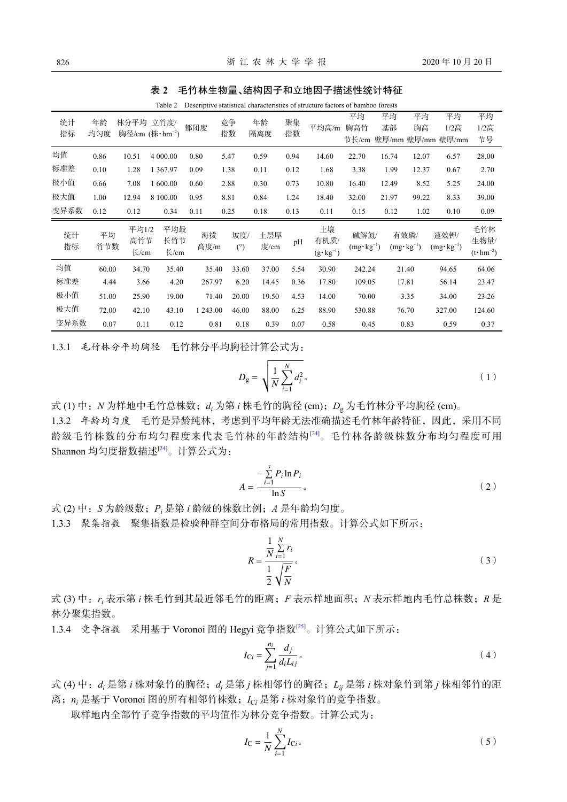<span id="page-3-0"></span>

| 表 2 毛竹林生物量、结构因子和立地因子描述性统计特征 |
|-----------------------------|
|                             |

|          | Descriptive statistical characteristics of structure factors of bamboo forests<br>Table 2 |                           |                                  |            |            |             |          |                                   |                              |          |                              |                                          |                                    |
|----------|-------------------------------------------------------------------------------------------|---------------------------|----------------------------------|------------|------------|-------------|----------|-----------------------------------|------------------------------|----------|------------------------------|------------------------------------------|------------------------------------|
| 统计<br>指标 | 年龄<br>均匀度                                                                                 | 林分平均 立竹度/                 | 胸径/cm $(k \cdot \text{hm}^{-2})$ | 郁闭度        | 竞争<br>指数   | 年龄<br>隔离度   | 聚集<br>指数 | 平均高/m                             | 平均<br>胸高竹                    | 平均<br>基部 | 平均<br>胸高                     | 平均<br>$1/2$ 高<br>节长/cm 壁厚/mm 壁厚/mm 壁厚/mm | 平均<br>1/2高<br>节号                   |
| 均值       | 0.86                                                                                      | 10.51                     | 4 000.00                         | 0.80       | 5.47       | 0.59        | 0.94     | 14.60                             | 22.70                        | 16.74    | 12.07                        | 6.57                                     | 28.00                              |
| 标准差      | 0.10                                                                                      | 1.28                      | 1 3 6 7 . 9 7                    | 0.09       | 1.38       | 0.11        | 0.12     | 1.68                              | 3.38                         | 1.99     | 12.37                        | 0.67                                     | 2.70                               |
| 极小值      | 0.66                                                                                      | 7.08                      | 1 600.00                         | 0.60       | 2.88       | 0.30        | 0.73     | 10.80                             | 16.40                        | 12.49    | 8.52                         | 5.25                                     | 24.00                              |
| 极大值      | 1.00                                                                                      | 12.94                     | 8 100.00                         | 0.95       | 8.81       | 0.84        | 1.24     | 18.40                             | 32.00                        | 21.97    | 99.22                        | 8.33                                     | 39.00                              |
| 变异系数     | 0.12                                                                                      | 0.12                      | 0.34                             | 0.11       | 0.25       | 0.18        | 0.13     | 0.11                              | 0.15                         | 0.12     | 1.02                         | 0.10                                     | 0.09                               |
| 统计<br>指标 | 平均<br>竹节数                                                                                 | 平均1/2<br>高竹节<br>$\pm$ /cm | 平均最<br>长竹节<br>K/cm               | 海拔<br>高度/m | 坡度/<br>(°) | 土层厚<br>度/cm | pH       | 土壤<br>有机质/<br>$(g \cdot kg^{-1})$ | 碱解氮/<br>$(mg \cdot kg^{-1})$ |          | 有效磷/<br>$(mg \cdot kg^{-1})$ | 速效钾/<br>$(mg \cdot kg^{-1})$             | 毛竹林<br>生物量/<br>$(t \cdot hm^{-2})$ |
| 均值       | 60.00                                                                                     | 34.70                     | 35.40                            | 35.40      | 33.60      | 37.00       | 5.54     | 30.90                             | 242.24                       |          | 21.40                        | 94.65                                    | 64.06                              |
| 标准差      | 4.44                                                                                      | 3.66                      | 4.20                             | 267.97     | 6.20       | 14.45       | 0.36     | 17.80                             | 109.05                       |          | 17.81                        | 56.14                                    | 23.47                              |
| 极小值      | 51.00                                                                                     | 25.90                     | 19.00                            | 71.40      | 20.00      | 19.50       | 4.53     | 14.00                             | 70.00                        |          | 3.35                         | 34.00                                    | 23.26                              |
| 极大值      | 72.00                                                                                     | 42.10                     | 43.10                            | 1 243.00   | 46.00      | 88.00       | 6.25     | 88.90                             | 530.88                       |          | 76.70                        | 327.00                                   | 124.60                             |
| 变异系数     | 0.07                                                                                      | 0.11                      | 0.12                             | 0.81       | 0.18       | 0.39        | 0.07     | 0.58                              | 0.45                         |          | 0.83                         | 0.59                                     | 0.37                               |

1.3.1 毛竹林分平均胸径 毛竹林分平均胸径计算公式为:

$$
D_{g} = \sqrt{\frac{1}{N} \sum_{i=1}^{N} d_{i}^{2}}.
$$
 (1)

式 (1) 中:*N* 为样地中毛竹总株数;*d<sup>i</sup>* 为第 *i* 株毛竹的胸径 (cm);*D*<sup>g</sup> 为毛竹林分平均胸径 (cm)。 1.3.2 年龄均匀度 毛竹是异龄纯林,考虑到平均年龄无法准确描述毛竹林年龄特征,因此,采用不同 龄级毛竹株数的分布均匀程度来代表毛竹林的年龄结构[[24\]](#page-8-16)。毛竹林各龄级株数分布均匀程度可用 Shannon 均匀度指数描述[[24](#page-8-16)]。计算公式为:

$$
A = \frac{-\sum_{i=1}^{s} P_i \ln P_i}{\ln S} \tag{2}
$$

式 (2) 中:*S* 为龄级数;*P<sup>i</sup>* 是第 *i* 龄级的株数比例;*A* 是年龄均匀度。

1.3.3 聚集指数 聚集指数是检验种群空间分布格局的常用指数。计算公式如下所示:

$$
R = \frac{\frac{1}{N} \sum\limits_{i=1}^{N} r_i}{\frac{1}{2} \sqrt{\frac{F}{N}}}.
$$
\n
$$
(3)
$$

式 (3) 中:*r<sup>i</sup>* 表示第 *i* 株毛竹到其最近邻毛竹的距离;*F* 表示样地面积;*N* 表示样地内毛竹总株数;*R* 是 林分聚集指数。

1.3.4 竞争指数 采用基于 Voronoi 图的 Hegyi 竞争指数[\[25](#page-8-17)]。计算公式如下所示:

$$
I_{\rm C} = \sum_{j=1}^{n_i} \frac{d_j}{d_i L_{ij}} \tag{4}
$$

式 (4) 中:*d<sup>i</sup>* 是第 *i* 株对象竹的胸径;*d<sup>j</sup>* 是第 *j* 株相邻竹的胸径;*Lij* 是第 *i* 株对象竹到第 *j* 株相邻竹的距 离;*n<sup>i</sup>* 是基于 Voronoi 图的所有相邻竹株数;*I*C*<sup>i</sup>* 是第 *i* 株对象竹的竞争指数。

取样地内全部竹子竞争指数的平均值作为林分竞争指数。计算公式为:

$$
I_{\rm C} = \frac{1}{N} \sum_{i=1}^{N} I_{\rm C}.
$$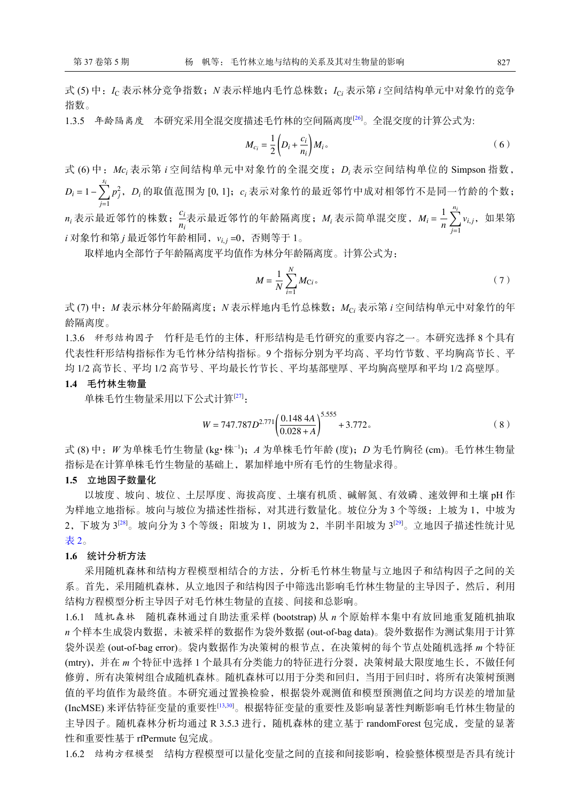式 (5) 中:*I*<sup>C</sup> 表示林分竞争指数;*N* 表示样地内毛竹总株数;*I*C*<sup>i</sup>* 表示第 *i* 空间结构单元中对象竹的竞争 指数。

1.3.5 年龄隔离度 本研究采用全混交度描述毛竹林的空间隔离度[[26\]](#page-9-0)。全混交度的计算公式为:

$$
M_{c_i} = \frac{1}{2} \left( D_i + \frac{c_i}{n_i} \right) M_i \tag{6}
$$

*D<sup>i</sup>* = 1− ∑*si p* 2 *j* ,*D<sup>i</sup>* 的取值范围为 [0, 1];*c<sup>i</sup>* 表示对象竹的最近邻竹中成对相邻竹不是同一竹龄的个数; *j*=1 *ci*  $\frac{c_i}{m_i}$ 表示最近邻竹的年龄隔离度;  $M_i$ 表示简单混交度,  $M_i$  =  $\frac{1}{n_i}$ *n* ∑*ni j*=1  $n_i$ 表示最近邻竹的株数; $\frac{\omega_i}{n}$ 表示最近邻竹的年龄隔离度; $M_i$ 表示简单混交度, $M_i$ = -  $\sum_i \nu_{i,j}$ ,如果第 *i*, 对象竹和第 *j* 最近邻竹年龄相同, v<sub>i.j</sub> =0,否则等于 1。 式 (6) 中:*Mc<sup>i</sup>* 表示第 *i* 空间结构单元中对象竹的全混交度;*D<sup>i</sup>* 表示空间结构单位的 Simpson 指数,

取样地内全部竹子年龄隔离度平均值作为林分年龄隔离度。计算公式为:

$$
M = \frac{1}{N} \sum_{i=1}^{N} M_{Ci} \tag{7}
$$

式 (7) 中:*M* 表示林分年龄隔离度;*N* 表示样地内毛竹总株数;*M*C*<sup>i</sup>* 表示第 *i* 空间结构单元中对象竹的年 龄隔离度。

1.3.6 秆形结构因子 竹秆是毛竹的主体,秆形结构是毛竹研究的重要内容之一。本研究选择 8 个具有 代表性秆形结构指标作为毛竹林分结构指标。9 个指标分别为平均高、平均竹节数、平均胸高节长、平 均 1/2 高节长、平均 1/2 高节号、平均最长竹节长、平均基部壁厚、平均胸高壁厚和平均 1/2 高壁厚。

## **1.4** 毛竹林生物量

单株毛竹生物量采用以下公式计算[[27\]](#page-9-1):

$$
W = 747.787D^{2.771} \left( \frac{0.148 \, 4A}{0.028 + A} \right)^{5.555} + 3.772 \, \text{.}
$$

式 (8) 中:*W* 为单株毛竹生物量 (kg·株−1);*A* 为单株毛竹年龄 (度);*D* 为毛竹胸径 (cm)。毛竹林生物量 指标是在计算单株毛竹生物量的基础上,累加样地中所有毛竹的生物量求得。

#### **1.5** 立地因子数量化

以坡度、坡向、坡位、土层厚度、海拔高度、土壤有机质、碱解氮、有效磷、速效钾和土壤 pH 作 为样地立地指标。坡向与坡位为描述性指标,对其进行数量化。坡位分为 3 个等级:上坡为 1, 中坡为 2,下坡为 3<sup>[[28](#page-9-2)]</sup>。坡向分为 3 个等级:阳坡为 1,阴坡为 2,半阴半阳坡为 3<sup>[\[29\]](#page-9-3)</sup>。立地因子描述性统计见 [表](#page-3-0) [2](#page-3-0)。

### **1.6** 统计分析方法

采用随机森林和结构方程模型相结合的方法,分析毛竹林生物量与立地因子和结构因子之间的关 系。首先,采用随机森林,从立地因子和结构因子中筛选出影响毛竹林生物量的主导因子,然后,利用 结构方程模型分析主导因子对毛竹林生物量的直接、间接和总影响。

1.6.1 随机森林 随机森林通过自助法重采样 (bootstrap) 从 *n* 个原始样本集中有放回地重复随机抽取 *n* 个样本生成袋内数据,未被采样的数据作为袋外数据 (out-of-bag data)。袋外数据作为测试集用于计算 袋外误差 (out-of-bag error)。袋内数据作为决策树的根节点,在决策树的每个节点处随机选择 *m* 个特征 (mtry),并在 *m* 个特征中选择 1 个最具有分类能力的特征进行分裂,决策树最大限度地生长,不做任何 修剪,所有决策树组合成随机森林。随机森林可以用于分类和回归,当用于回归时,将所有决策树预测 值的平均值作为最终值。本研究通过置换检验,根据袋外观测值和模型预测值之间均方误差的增加量 (IncMSE) 来评估特征变量的重要性[\[13](#page-8-6),[30\]](#page-9-4)。根据特征变量的重要性及影响显著性判断影响毛竹林生物量的 主导因子。随机森林分析均通过 R 3.5.3 进行, 随机森林的建立基于 randomForest 包完成, 变量的显著 性和重要性基于 rfPermute 包完成。

1.6.2 结构方程模型 结构方程模型可以量化变量之间的直接和间接影响,检验整体模型是否具有统计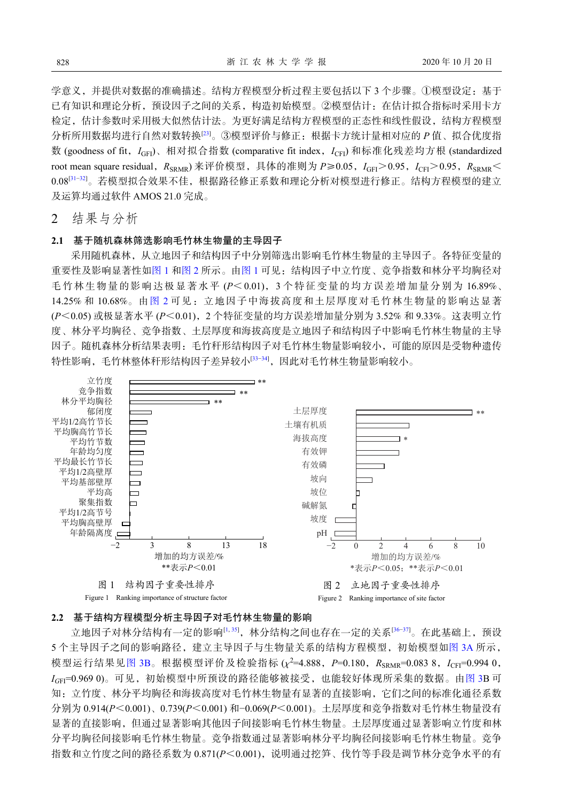学意义,并提供对数据的准确描述。结构方程模型分析过程主要包括以下 3 个步骤。①模型设定:基于 已有知识和理论分析,预设因子之间的关系,构造初始模型。②模型估计:在估计拟合指标时采用卡方 检定,估计参数时采用极大似然估计法。为更好满足结构方程模型的正态性和线性假设,结构方程模型 分析所用数据均进行自然对数转换[[23\]](#page-8-15)。③模型评价与修正:根据卡方统计量相对应的 *P* 值、拟合优度指 数 (goodness of fit,  $I_{\text{GFI}}$ )、相对拟合指数 (comparative fit index,  $I_{\text{CFI}}$ ) 和标准化残差均方根 (standardized root mean square residual,  $R_{SRMR}$ ) 来评价模型, 具体的准则为 *P≥0.05, I<sub>GEI</sub>*>0.95,  $I_{CET}$ ≥0.95,  $R_{SRMR}$  < 0.08<sup>[\[31](#page-9-5)−[32\]](#page-9-6)</sup>。若模型拟合效果不佳,根据路径修正系数和理论分析对模型进行修正。结构方程模型的建立 及运算均通过软件 AMOS 21.0 完成。

2 结果与分析

#### **2.1** 基于随机森林筛选影响毛竹林生物量的主导因子

采用随机森林,从立地因子和结构因子中分别筛选出影响毛竹林生物量的主导因子。各特征变量的 重要性及影响显著性[如图](#page-5-0) [1](#page-5-0) 和[图](#page-5-1) [2](#page-5-1) 所示。[由图](#page-5-0) [1](#page-5-0) 可见:结构因子中立竹度、竞争指数和林分平均胸径对 毛竹林生物量的影响达极显著水平 (*P*<0.01),3 个特征变量的均方误差增加量分别为 16.89%、 14.25% 和 10.68%。由[图](#page-5-1) [2](#page-5-1) 可见:立地因子中海拔高度和土层厚度对毛竹林生物量的影响达显著 (*P*<0.05) 或极显著水平 (*P*<0.01),2 个特征变量的均方误差增加量分别为 3.52% 和 9.33%。这表明立竹 度、林分平均胸径、竞争指数、土层厚度和海拔高度是立地因子和结构因子中影响毛竹林生物量的主导 因子。随机森林分析结果表明:毛竹秆形结构因子对毛竹林生物量影响较小,可能的原因是受物种遗传 特性影响,毛竹林整体秆形结构因子差异较小[\[33](#page-9-7)−[34\]](#page-9-8),因此对毛竹林生物量影响较小。

<span id="page-5-1"></span><span id="page-5-0"></span>

#### **2.2** 基于结构方程模型分析主导因子对毛竹林生物量的影响

模型运行结果见[图](#page-6-0) [3B](#page-6-0)。根据模型评价及检验指标(x<sup>2=4.888, P=0.180, R<sub>SRMR</sub>=0.083 8, I<sub>CFI</sub>=0.994 0,</sup> 立地因子对林分结构有一定的影响[[1,](#page-7-0) [35](#page-9-9)],林分结构之间也存在一定的关系[36-[37](#page-9-11)]。在此基础上,预设 5 个主导因子之间的影响路径,建立主导因子与生物量关系的结构方程模型,初始模型如[图](#page-6-0) [3A](#page-6-0) 所示, *IG*FI=0.969 0)。可见,初始模型中所预设的路径能够被接受,也能较好体现所采集的数据。由[图](#page-6-0) [3](#page-6-0)B 可 知:立竹度、林分平均胸径和海拔高度对毛竹林生物量有显著的直接影响,它们之间的标准化通径系数 分别为 0.914(*P*<0.001)、0.739(*P*<0.001) 和−0.069(*P*<0.001)。土层厚度和竞争指数对毛竹林生物量没有 显著的直接影响,但通过显著影响其他因子间接影响毛竹林生物量。土层厚度通过显著影响立竹度和林 分平均胸径间接影响毛竹林生物量。竞争指数通过显著影响林分平均胸径间接影响毛竹林生物量。竞争 指数和立竹度之间的路径系数为 0.871(*P*<0.001),说明通过挖笋、伐竹等手段是调节林分竞争水平的有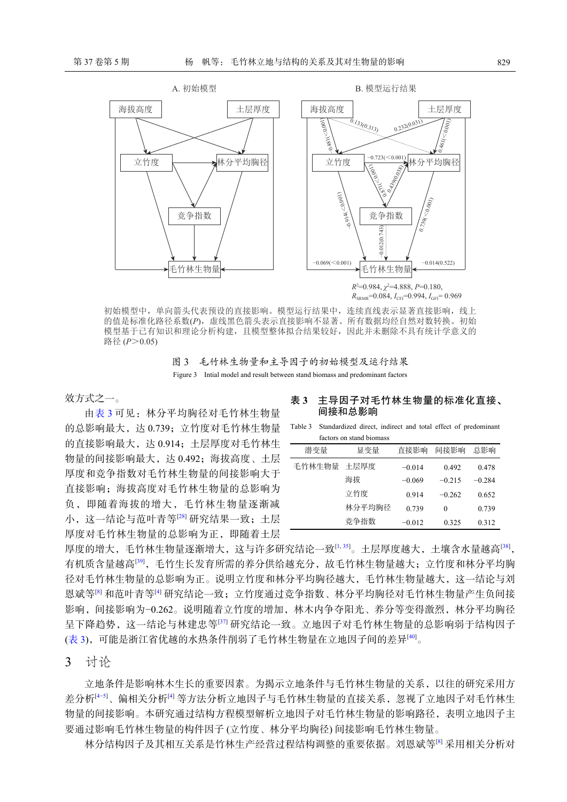<span id="page-6-0"></span>

 $R_{SPMR}$ =0.084,  $I_{CFI}$ =0.994,  $I_{GFI}$ = 0.969

初始模型中,单向箭头代表预设的直接影响。模型运行结果中,连续直线表示显著直接影响,线上 的值是标准化路径系数(*P*),虚线黑色箭头表示直接影响不显著。所有数据均经自然对数转换。初始 模型基于已有知识和理论分析构建,且模型整体拟合结果较好,因此并未删除不具有统计学意义的 路径 (*P*>0.05)

图 3 毛竹林生物量和主导因子的初始模型及运行结果 Figure 3 Intial model and result between stand biomass and predominant factors

效方式之一。

由[表](#page-6-1) [3](#page-6-1) 可见:林分平均胸径对毛竹林生物量 的总影响最大,达 0.739; 立竹度对毛竹林生物量 Table 3 Standardized direct, indirect and total effect of predominant 的直接影响最大,达 0.914;土层厚度对毛竹林生 -物量的间接影响最大,达 0.492;海拔高度、土层 厚度和竞争指数对毛竹林生物量的间接影响大于 直接影响;海拔高度对毛竹林生物量的总影响为 负,即随着海拔的增大,毛竹林生物量逐渐减 小,这一结论与范叶青等[[28](#page-9-2)] 研究结果一致;土层 厚度对毛竹林生物量的总影响为正,即随着土层

#### <span id="page-6-1"></span>表 **3** 主导因子对毛竹林生物量的标准化直接、 间接和总影响

factors on stand biomass

| 潜变量         | 显变量    | 直接影响     | 间接影响     | 总影响      |
|-------------|--------|----------|----------|----------|
| 毛竹林生物量 土层厚度 |        | $-0.014$ | 0.492    | 0.478    |
|             | 海拔     | $-0.069$ | $-0.215$ | $-0.284$ |
|             | 立竹度    | 0.914    | $-0.262$ | 0.652    |
|             | 林分平均胸径 | 0.739    | $\Omega$ | 0.739    |
|             | 竞争指数   | $-0.012$ | 0.325    | 0.312    |

厚度的增大,毛竹林生物量逐渐增大,这与许多研究结论一致[[1](#page-7-0),[35](#page-9-9)]。土层厚度越大,土壤含水量越高[[38](#page-9-12)], 有机质含量越高[[39](#page-9-13)],毛竹生长发育所需的养分供给越充分,故毛竹林生物量越大;立竹度和林分平均胸 径对毛竹林生物量的总影响为正。说明立竹度和林分平均胸径越大,毛竹林生物量越大,这一结论与刘 恩斌等[[8](#page-8-1)] 和范叶青等[\[4\]](#page-7-3) 研究结论一致;立竹度通过竞争指数、林分平均胸径对毛竹林生物量产生负间接 影响,间接影响为−0.262。说明随着立竹度的增加,林木内争夺阳光、养分等变得激烈,林分平均胸径 呈下降趋势,这一结论与林建忠等<sup>[\[37](#page-9-11)]</sup> 研究结论一致。立地因子对毛竹林生物量的总影响弱于结构因子 ([表](#page-6-1) [3\)](#page-6-1),可能是浙江省优越的水热条件削弱了毛竹林生物量在立地因子间的差异[[40\]](#page-9-14)。

3 讨论

立地条件是影响林木生长的重要因素。为揭示立地条件与毛竹林生物量的关系,以往的研究采用方 差分析[[4](#page-7-3)[−5](#page-7-4)]、偏相关分析[\[4](#page-7-3)] 等方法分析立地因子与毛竹林生物量的直接关系,忽视了立地因子对毛竹林生 物量的间接影响。本研究通过结构方程模型解析立地因子对毛竹林生物量的影响路径,表明立地因子主 要通过影响毛竹林生物量的构件因子 (立竹度、林分平均胸径) 间接影响毛竹林生物量。

林分结构因子及其相互关系是竹林生产经营过程结构调整的重要依据。刘恩斌等<sup>[[8\]](#page-8-1)</sup> 采用相关分析对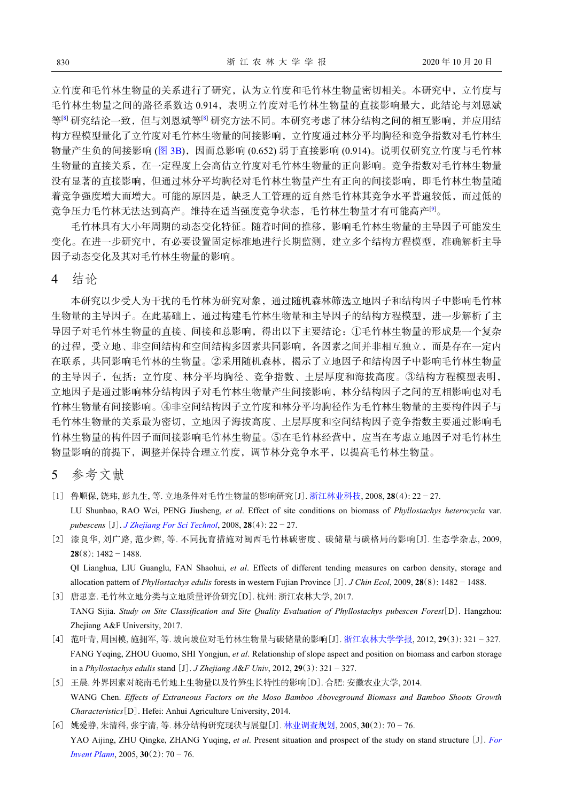立竹度和毛竹林生物量的关系进行了研究,认为立竹度和毛竹林生物量密切相关。本研究中,立竹度与 毛竹林生物量之间的路径系数达 0.914,表明立竹度对毛竹林生物量的直接影响最大,此结论与刘恩斌 等 ${}^{[8]}$  ${}^{[8]}$  ${}^{[8]}$ 研究结论一致,但与刘恩斌等 ${}^{[8]}$ 研究方法不同。本研究考虑了林分结构之间的相互影响,并应用结 构方程模型量化了立竹度对毛竹林生物量的间接影响,立竹度通过林分平均胸径和竞争指数对毛竹林生 物量产生负的间接影响 ([图](#page-6-0) [3B\)](#page-6-0),因而总影响 (0.652) 弱于直接影响 (0.914)。说明仅研究立竹度与毛竹林 生物量的直接关系,在一定程度上会高估立竹度对毛竹林生物量的正向影响。竞争指数对毛竹林生物量 没有显著的直接影响,但通过林分平均胸径对毛竹林生物量产生有正向的间接影响,即毛竹林生物量随 着竞争强度增大而增大。可能的原因是,缺乏人工管理的近自然毛竹林其竞争水平普遍较低,而过低的 竞争压力毛竹林无法达到高产。维持在适当强度竞争状态,毛竹林生物量才有可能高产<sup>[\[9](#page-8-2)]</sup>。

毛竹林具有大小年周期的动态变化特征。随着时间的推移,影响毛竹林生物量的主导因子可能发生 变化。在进一步研究中,有必要设置固定标准地进行长期监测,建立多个结构方程模型,准确解析主导 因子动态变化及其对毛竹林生物量的影响。

4 结论

本研究以少受人为干扰的毛竹林为研究对象,通过随机森林筛选立地因子和结构因子中影响毛竹林 生物量的主导因子。在此基础上,通过构建毛竹林生物量和主导因子的结构方程模型,进一步解析了主 导因子对毛竹林生物量的直接、间接和总影响,得出以下主要结论:①毛竹林生物量的形成是一个复杂 的过程,受立地、非空间结构和空间结构多因素共同影响,各因素之间并非相互独立,而是存在一定内 在联系,共同影响毛竹林的生物量。②采用随机森林,揭示了立地因子和结构因子中影响毛竹林生物量 的主导因子,包括:立竹度、林分平均胸径、竞争指数、土层厚度和海拔高度。③结构方程模型表明, 立地因子是通过影响林分结构因子对毛竹林生物量产生间接影响,林分结构因子之间的互相影响也对毛 竹林生物量有间接影响。④非空间结构因子立竹度和林分平均胸径作为毛竹林生物量的主要构件因子与 毛竹林生物量的关系最为密切,立地因子海拔高度、土层厚度和空间结构因子竞争指数主要通过影响毛 竹林生物量的构件因子而间接影响毛竹林生物量。⑤在毛竹林经营中,应当在考虑立地因子对毛竹林生 物量影响的前提下,调整并保持合理立竹度,调节林分竞争水平,以提高毛竹林生物量。

5 参考文献

- <span id="page-7-0"></span>[1] 鲁顺保, 饶玮, 彭九生, 等. 立地条件对毛竹生物量的影响研究[J]. [浙江林业科技](https://doi.org/10.3969/j.issn.1001-3776.2008.04.005), 2008, **28**(4): 22 − 27. LU Shunbao, RAO Wei, PENG Jiusheng, *et al*. Effect of site conditions on biomass of *Phyllostachys heterocycla* var. *pubescens* [J]. *[J Zhejiang For Sci Technol](https://doi.org/10.3969/j.issn.1001-3776.2008.04.005)*, 2008, **28**(4): 22 − 27.
- <span id="page-7-1"></span>[2] 漆良华, 刘广路, 范少辉, 等. 不同抚育措施对闽西毛竹林碳密度、碳储量与碳格局的影响[J]. 生态学杂志, 2009, **28**(8): 1482 − 1488.

QI Lianghua, LIU Guanglu, FAN Shaohui, *et al*. Effects of different tending measures on carbon density, storage and allocation pattern of *Phyllostachys edulis* forests in western Fujian Province [J]. *J Chin Ecol*, 2009, **28**(8): 1482 − 1488.

<span id="page-7-2"></span>[3] 唐思嘉. 毛竹林立地分类与立地质量评价研究[D]. 杭州: 浙江农林大学, 2017. TANG Sijia. *Study on Site Classification and Site Quality Evaluation of Phyllostachys pubescen Forest*[D]. Hangzhou: Zhejiang A&F University, 2017.

- <span id="page-7-3"></span>[4] 范叶青, 周国模, 施拥军, 等. 坡向坡位对毛竹林生物量与碳储量的影响[J]. [浙江农林大学学报](https://doi.org/10.3969/j.issn.2095-0756.2012.03.001), 2012, **29**(3): 321 − 327. FANG Yeqing, ZHOU Guomo, SHI Yongjun, *et al*. Relationship of slope aspect and position on biomass and carbon storage in a *Phyllostachys edulis* stand [J]. *J Zhejiang A*&*F Univ*, 2012, **29**(3): 321 − 327.
- <span id="page-7-4"></span>[5] 王晨. 外界因素对皖南毛竹地上生物量以及竹笋生长特性的影响[D]. 合肥: 安徽农业大学, 2014. WANG Chen. *Effects of Extraneous Factors on the Moso Bamboo Aboveground Biomass and Bamboo Shoots Growth Characteristics*[D]. Hefei: Anhui Agriculture University, 2014.
- <span id="page-7-5"></span>[6] 姚爱静, 朱清科, 张宇清, 等. 林分结构研究现状与展望[J]. [林业调查规划](https://doi.org/10.3969/j.issn.1671-3168.2005.02.018), 2005, **30**(2): 70 − 76. YAO Aijing, ZHU Qingke, ZHANG Yuqing, *et al*. Present situation and prospect of the study on stand structure [J]. *[For](https://doi.org/10.3969/j.issn.1671-3168.2005.02.018) [Invent Plann](https://doi.org/10.3969/j.issn.1671-3168.2005.02.018)*, 2005, **30**(2): 70 − 76.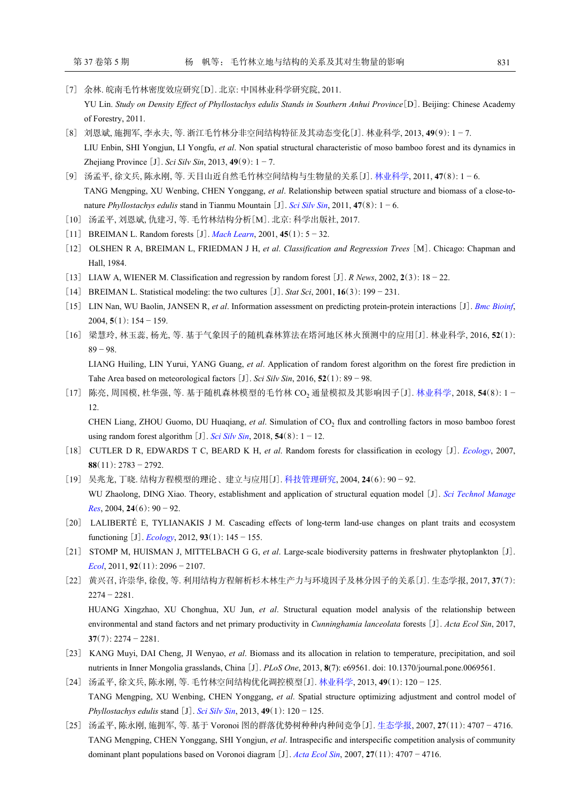- <span id="page-8-0"></span>[7] 余林. 皖南毛竹林密度效应研究[D]. 北京: 中国林业科学研究院, 2011. YU Lin. *Study on Density Effect of Phyllostachys edulis Stands in Southern Anhui Province*[D]. Beijing: Chinese Academy of Forestry, 2011.
- <span id="page-8-1"></span>[8] 刘恩斌, 施拥军, 李永夫, 等. 浙江毛竹林分非空间结构特征及其动态变化[J]. 林业科学, 2013, **49**(9): 1 − 7. LIU Enbin, SHI Yongjun, LI Yongfu, *et al*. Non spatial structural characteristic of moso bamboo forest and its dynamics in Zhejiang Province [J]. *Sci Silv Sin*, 2013, **49**(9): 1 − 7.
- <span id="page-8-2"></span>[9] 汤孟平, 徐文兵, 陈永刚, 等. 天目山近自然毛竹林空间结构与生物量的关系[J]. [林业科学](https://doi.org/10.11707/j.1001-7488.20110801), 2011, **47**(8): 1 − 6. TANG Mengping, XU Wenbing, CHEN Yonggang, *et al*. Relationship between spatial structure and biomass of a close-tonature *Phyllostachys edulis* stand in Tianmu Mountain [J]. *[Sci Silv Sin](https://doi.org/10.11707/j.1001-7488.20110801)*, 2011, **47**(8): 1 − 6.
- <span id="page-8-3"></span>[10] 汤孟平, 刘恩斌, 仇建习, 等. 毛竹林结构分析[M]. 北京: 科学出版社, 2017.
- <span id="page-8-4"></span>[11] BREIMAN L. Random forests [J]. *[Mach Learn](https://doi.org/10.1023/A:1010933404324)*, 2001, **45**(1): 5 − 32.
- <span id="page-8-5"></span>[12] OLSHEN R A, BREIMAN L, FRIEDMAN J H, *et al*. *Classification and Regression Trees* [M]. Chicago: Chapman and Hall, 1984.
- <span id="page-8-6"></span>[13] LIAW A, WIENER M. Classification and regression by random forest [J]. *R News*, 2002, **2**(3): 18 − 22.
- <span id="page-8-7"></span>[14] BREIMAN L. Statistical modeling: the two cultures [J]. *Stat Sci*, 2001, **16**(3): 199 − 231.
- <span id="page-8-8"></span>[15] LIN Nan, WU Baolin, JANSEN R, *et al*. Information assessment on predicting protein-protein interactions [J]. *[Bmc Bioinf](https://doi.org/10.1186/1471-2105-5-154)*, 2004, **5**(1): 154 − 159.
- [16] 梁慧玲, 林玉蕊, 杨光, 等. 基于气象因子的随机森林算法在塔河地区林火预测中的应用[J]. 林业科学, 2016, **52**(1): 89 − 98.

LIANG Huiling, LIN Yurui, YANG Guang, *et al*. Application of random forest algorithm on the forest fire prediction in Tahe Area based on meteorological factors [J]. *Sci Silv Sin*, 2016, **52**(1): 89 − 98.

<span id="page-8-9"></span>[17] 陈亮, 周国模, 杜华强, 等. 基于随机森林模型的毛竹林 CO<sup>2</sup> 通量模拟及其影响因子[J]. [林业科学](https://doi.org/10.11707/j.1001-7488.20180801), 2018, **54**(8): 1 − 12.

CHEN Liang, ZHOU Guomo, DU Huaqiang, *et al*. Simulation of CO<sub>2</sub> flux and controlling factors in moso bamboo forest using random forest algorithm [J]. *[Sci Silv Sin](https://doi.org/10.11707/j.1001-7488.20180801)*, 2018, **54**(8):  $1 - 12$ .

- <span id="page-8-10"></span>[18] CUTLER D R, EDWARDS T C, BEARD K H, *et al*. Random forests for classification in ecology [J]. *[Ecology](https://doi.org/10.1890/07-0539.1)*, 2007, **88**(11): 2783 − 2792.
- <span id="page-8-11"></span>[19] 吴兆龙, 丁晓. 结构方程模型的理论、建立与应用[J]. [科技管理研究](https://doi.org/10.3969/j.issn.1000-7695.2004.06.031), 2004, **24**(6): 90 − 92. WU Zhaolong, DING Xiao. Theory, establishment and application of structural equation model [J]. *[Sci Technol Manage](https://doi.org/10.3969/j.issn.1000-7695.2004.06.031) [Res](https://doi.org/10.3969/j.issn.1000-7695.2004.06.031)*, 2004, **24**(6): 90 − 92.
- <span id="page-8-12"></span>[20] LALIBERTÉ E, TYLIANAKIS J M. Cascading effects of long-term land-use changes on plant traits and ecosystem functioning  $[J]$ . *[Ecology](https://doi.org/10.1890/11-0338.1)*, 2012, 93(1): 145 – 155.
- <span id="page-8-13"></span>[21] STOMP M, HUISMAN J, MITTELBACH G G, *et al*. Large-scale biodiversity patterns in freshwater phytoplankton [J]. *[Ecol](https://doi.org/10.1890/10-1023.1)*, 2011, **92**(11): 2096 − 2107.
- <span id="page-8-14"></span>[22] 黄兴召, 许崇华, 徐俊, 等. 利用结构方程解析杉木林生产力与环境因子及林分因子的关系[J]. 生态学报, 2017, **37**(7): 2274 − 2281.

HUANG Xingzhao, XU Chonghua, XU Jun, *et al*. Structural equation model analysis of the relationship between environmental and stand factors and net primary productivity in *Cunninghamia lanceolata* forests [J]. *Acta Ecol Sin*, 2017, **37**(7): 2274 − 2281.

- <span id="page-8-15"></span>[23] KANG Muyi, DAI Cheng, JI Wenyao, *et al*. Biomass and its allocation in relation to temperature, precipitation, and soil nutrients in Inner Mongolia grasslands, China [J]. *PLoS One*, 2013, **8**(7): e69561. doi: 10.1370/journal.pone.0069561.
- <span id="page-8-16"></span>[24] 汤孟平, 徐文兵, 陈永刚, 等. 毛竹林空间结构优化调控模型[J]. [林业科学](https://doi.org/10.11707/j.1001-7488.20130118), 2013, **49**(1): 120 − 125. TANG Mengping, XU Wenbing, CHEN Yonggang, *et al*. Spatial structure optimizing adjustment and control model of *Phyllostachys edulis* stand [J]. *[Sci Silv Sin](https://doi.org/10.11707/j.1001-7488.20130118)*, 2013, **49**(1): 120 − 125.
- <span id="page-8-17"></span>[25] 汤孟平, 陈永刚, 施拥军, 等. 基于 Voronoi 图的群落优势树种种内种间竞争[J]. [生态学报](https://doi.org/10.3321/j.issn:1000-0933.2007.11.039), 2007, **27**(11): 4707 − 4716. TANG Mengping, CHEN Yonggang, SHI Yongjun, *et al*. I[ntraspecific an](https://doi.org/10.3321/j.issn:1000-0933.2007.11.039)d interspecific competition analysis of community dominant plant populations based on Voronoi diagram [J]. *[Acta Ecol Sin](https://doi.org/10.3321/j.issn:1000-0933.2007.11.039)*, 2007, **27**(11): 4707 − 4716.